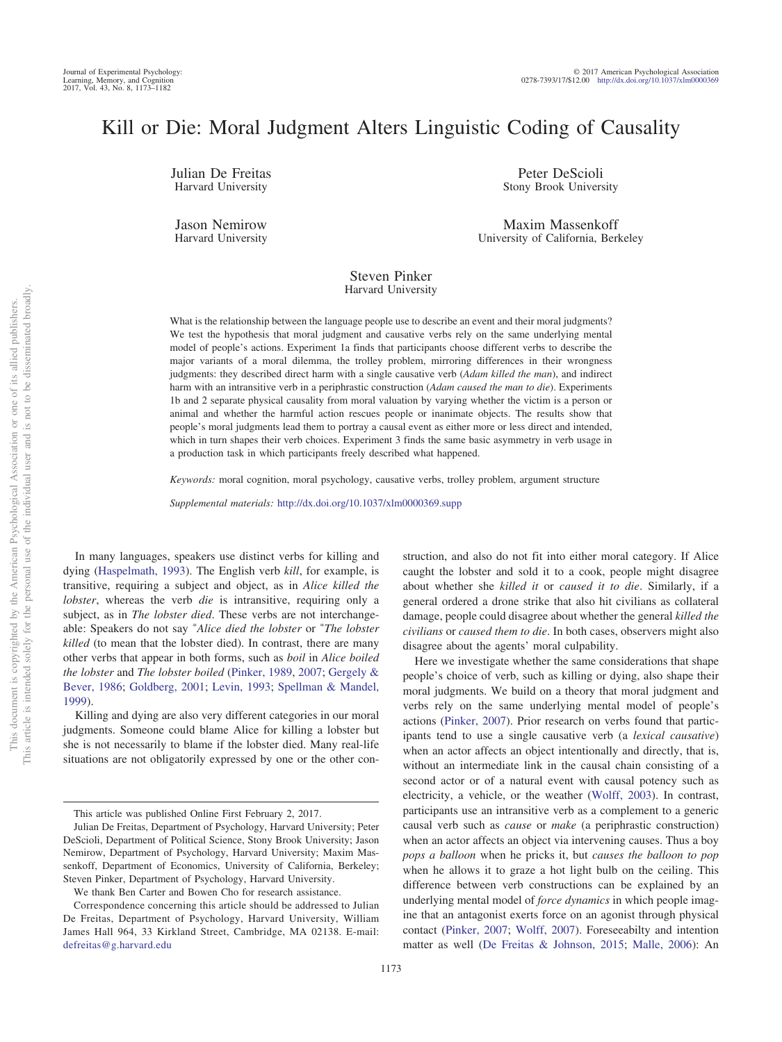# Kill or Die: Moral Judgment Alters Linguistic Coding of Causality

Julian De Freitas Harvard University

Jason Nemirow Harvard University

Peter DeScioli Stony Brook University

Maxim Massenkoff University of California, Berkeley

#### Steven Pinker Harvard University

What is the relationship between the language people use to describe an event and their moral judgments? We test the hypothesis that moral judgment and causative verbs rely on the same underlying mental model of people's actions. Experiment 1a finds that participants choose different verbs to describe the major variants of a moral dilemma, the trolley problem, mirroring differences in their wrongness judgments: they described direct harm with a single causative verb (*Adam killed the man*), and indirect harm with an intransitive verb in a periphrastic construction (*Adam caused the man to die*). Experiments 1b and 2 separate physical causality from moral valuation by varying whether the victim is a person or animal and whether the harmful action rescues people or inanimate objects. The results show that people's moral judgments lead them to portray a causal event as either more or less direct and intended, which in turn shapes their verb choices. Experiment 3 finds the same basic asymmetry in verb usage in a production task in which participants freely described what happened.

*Keywords:* moral cognition, moral psychology, causative verbs, trolley problem, argument structure

*Supplemental materials:* http://dx.doi.org[/10.1037/xlm0000369.supp](http://dx.doi.org/10.1037/xlm0000369.supp)

In many languages, speakers use distinct verbs for killing and dying [\(Haspelmath, 1993\)](#page-7-0). The English verb *kill*, for example, is transitive, requiring a subject and object, as in *Alice killed the lobster*, whereas the verb *die* is intransitive, requiring only a subject, as in *The lobster died*. These verbs are not interchangeable: Speakers do not say \*Alice died the lobster or \*The lobster *killed* (to mean that the lobster died). In contrast, there are many other verbs that appear in both forms, such as *boil* in *Alice boiled the lobster* and *The lobster boiled* [\(Pinker, 1989,](#page-8-0) [2007;](#page-8-1) [Gergely &](#page-7-1) [Bever, 1986;](#page-7-1) [Goldberg, 2001;](#page-7-2) [Levin, 1993;](#page-8-2) [Spellman & Mandel,](#page-8-3) [1999\)](#page-8-3).

Killing and dying are also very different categories in our moral judgments. Someone could blame Alice for killing a lobster but she is not necessarily to blame if the lobster died. Many real-life situations are not obligatorily expressed by one or the other con-

struction, and also do not fit into either moral category. If Alice caught the lobster and sold it to a cook, people might disagree about whether she *killed it* or *caused it to die*. Similarly, if a general ordered a drone strike that also hit civilians as collateral damage, people could disagree about whether the general *killed the civilians* or *caused them to die*. In both cases, observers might also disagree about the agents' moral culpability.

Here we investigate whether the same considerations that shape people's choice of verb, such as killing or dying, also shape their moral judgments. We build on a theory that moral judgment and verbs rely on the same underlying mental model of people's actions [\(Pinker, 2007\)](#page-8-1). Prior research on verbs found that participants tend to use a single causative verb (a *lexical causative*) when an actor affects an object intentionally and directly, that is, without an intermediate link in the causal chain consisting of a second actor or of a natural event with causal potency such as electricity, a vehicle, or the weather [\(Wolff, 2003\)](#page-8-4). In contrast, participants use an intransitive verb as a complement to a generic causal verb such as *cause* or *make* (a periphrastic construction) when an actor affects an object via intervening causes. Thus a boy *pops a balloon* when he pricks it, but *causes the balloon to pop* when he allows it to graze a hot light bulb on the ceiling. This difference between verb constructions can be explained by an underlying mental model of *force dynamics* in which people imagine that an antagonist exerts force on an agonist through physical contact [\(Pinker, 2007;](#page-8-1) [Wolff, 2007\)](#page-8-5). Foreseeabilty and intention matter as well [\(De Freitas & Johnson, 2015;](#page-7-3) [Malle, 2006\)](#page-8-6): An

This article was published Online First February 2, 2017.

Julian De Freitas, Department of Psychology, Harvard University; Peter DeScioli, Department of Political Science, Stony Brook University; Jason Nemirow, Department of Psychology, Harvard University; Maxim Massenkoff, Department of Economics, University of California, Berkeley; Steven Pinker, Department of Psychology, Harvard University.

We thank Ben Carter and Bowen Cho for research assistance.

Correspondence concerning this article should be addressed to Julian De Freitas, Department of Psychology, Harvard University, William James Hall 964, 33 Kirkland Street, Cambridge, MA 02138. E-mail: [defreitas@g.harvard.edu](mailto:defreitas@g.harvard.edu)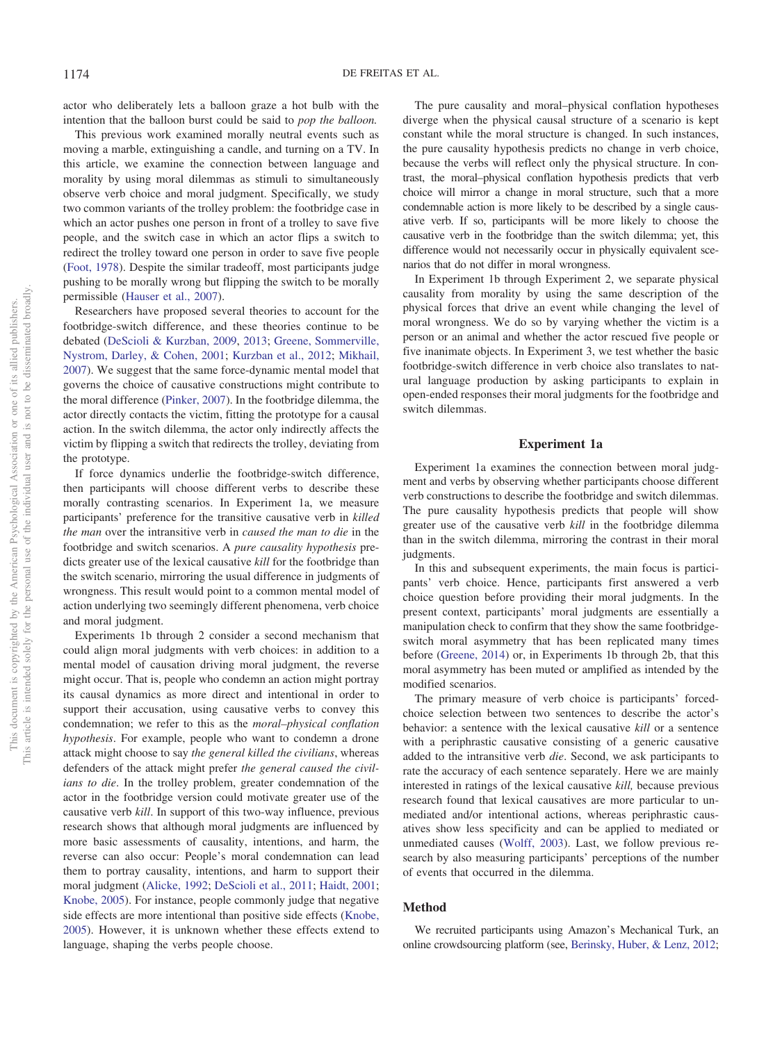actor who deliberately lets a balloon graze a hot bulb with the intention that the balloon burst could be said to *pop the balloon.*

This previous work examined morally neutral events such as moving a marble, extinguishing a candle, and turning on a TV. In this article, we examine the connection between language and morality by using moral dilemmas as stimuli to simultaneously observe verb choice and moral judgment. Specifically, we study two common variants of the trolley problem: the footbridge case in which an actor pushes one person in front of a trolley to save five people, and the switch case in which an actor flips a switch to redirect the trolley toward one person in order to save five people [\(Foot, 1978\)](#page-7-4). Despite the similar tradeoff, most participants judge pushing to be morally wrong but flipping the switch to be morally permissible [\(Hauser et al., 2007\)](#page-7-5).

Researchers have proposed several theories to account for the footbridge-switch difference, and these theories continue to be debated [\(DeScioli & Kurzban, 2009,](#page-7-6) [2013;](#page-7-7) [Greene, Sommerville,](#page-7-8) [Nystrom, Darley, & Cohen, 2001;](#page-7-8) [Kurzban et al., 2012;](#page-8-7) [Mikhail,](#page-8-8) [2007\)](#page-8-8). We suggest that the same force-dynamic mental model that governs the choice of causative constructions might contribute to the moral difference [\(Pinker, 2007\)](#page-8-1). In the footbridge dilemma, the actor directly contacts the victim, fitting the prototype for a causal action. In the switch dilemma, the actor only indirectly affects the victim by flipping a switch that redirects the trolley, deviating from the prototype.

If force dynamics underlie the footbridge-switch difference, then participants will choose different verbs to describe these morally contrasting scenarios. In Experiment 1a, we measure participants' preference for the transitive causative verb in *killed the man* over the intransitive verb in *caused the man to die* in the footbridge and switch scenarios. A *pure causality hypothesis* predicts greater use of the lexical causative *kill* for the footbridge than the switch scenario, mirroring the usual difference in judgments of wrongness. This result would point to a common mental model of action underlying two seemingly different phenomena, verb choice and moral judgment.

Experiments 1b through 2 consider a second mechanism that could align moral judgments with verb choices: in addition to a mental model of causation driving moral judgment, the reverse might occur. That is, people who condemn an action might portray its causal dynamics as more direct and intentional in order to support their accusation, using causative verbs to convey this condemnation; we refer to this as the *moral–physical conflation hypothesis*. For example, people who want to condemn a drone attack might choose to say *the general killed the civilians*, whereas defenders of the attack might prefer *the general caused the civilians to die*. In the trolley problem, greater condemnation of the actor in the footbridge version could motivate greater use of the causative verb *kill*. In support of this two-way influence, previous research shows that although moral judgments are influenced by more basic assessments of causality, intentions, and harm, the reverse can also occur: People's moral condemnation can lead them to portray causality, intentions, and harm to support their moral judgment [\(Alicke, 1992;](#page-7-9) [DeScioli et al., 2011;](#page-7-10) [Haidt, 2001;](#page-7-11) [Knobe, 2005\)](#page-8-9). For instance, people commonly judge that negative side effects are more intentional than positive side effects [\(Knobe,](#page-8-9) [2005\)](#page-8-9). However, it is unknown whether these effects extend to language, shaping the verbs people choose.

The pure causality and moral–physical conflation hypotheses diverge when the physical causal structure of a scenario is kept constant while the moral structure is changed. In such instances, the pure causality hypothesis predicts no change in verb choice, because the verbs will reflect only the physical structure. In contrast, the moral–physical conflation hypothesis predicts that verb choice will mirror a change in moral structure, such that a more condemnable action is more likely to be described by a single causative verb. If so, participants will be more likely to choose the causative verb in the footbridge than the switch dilemma; yet, this difference would not necessarily occur in physically equivalent scenarios that do not differ in moral wrongness.

In Experiment 1b through Experiment 2, we separate physical causality from morality by using the same description of the physical forces that drive an event while changing the level of moral wrongness. We do so by varying whether the victim is a person or an animal and whether the actor rescued five people or five inanimate objects. In Experiment 3, we test whether the basic footbridge-switch difference in verb choice also translates to natural language production by asking participants to explain in open-ended responses their moral judgments for the footbridge and switch dilemmas.

#### **Experiment 1a**

Experiment 1a examines the connection between moral judgment and verbs by observing whether participants choose different verb constructions to describe the footbridge and switch dilemmas. The pure causality hypothesis predicts that people will show greater use of the causative verb *kill* in the footbridge dilemma than in the switch dilemma, mirroring the contrast in their moral judgments.

In this and subsequent experiments, the main focus is participants' verb choice. Hence, participants first answered a verb choice question before providing their moral judgments. In the present context, participants' moral judgments are essentially a manipulation check to confirm that they show the same footbridgeswitch moral asymmetry that has been replicated many times before [\(Greene, 2014\)](#page-7-12) or, in Experiments 1b through 2b, that this moral asymmetry has been muted or amplified as intended by the modified scenarios.

The primary measure of verb choice is participants' forcedchoice selection between two sentences to describe the actor's behavior: a sentence with the lexical causative *kill* or a sentence with a periphrastic causative consisting of a generic causative added to the intransitive verb *die*. Second, we ask participants to rate the accuracy of each sentence separately. Here we are mainly interested in ratings of the lexical causative *kill,* because previous research found that lexical causatives are more particular to unmediated and/or intentional actions, whereas periphrastic causatives show less specificity and can be applied to mediated or unmediated causes [\(Wolff, 2003\)](#page-8-4). Last, we follow previous research by also measuring participants' perceptions of the number of events that occurred in the dilemma.

#### **Method**

We recruited participants using Amazon's Mechanical Turk, an online crowdsourcing platform (see, [Berinsky, Huber, & Lenz, 2012;](#page-7-13)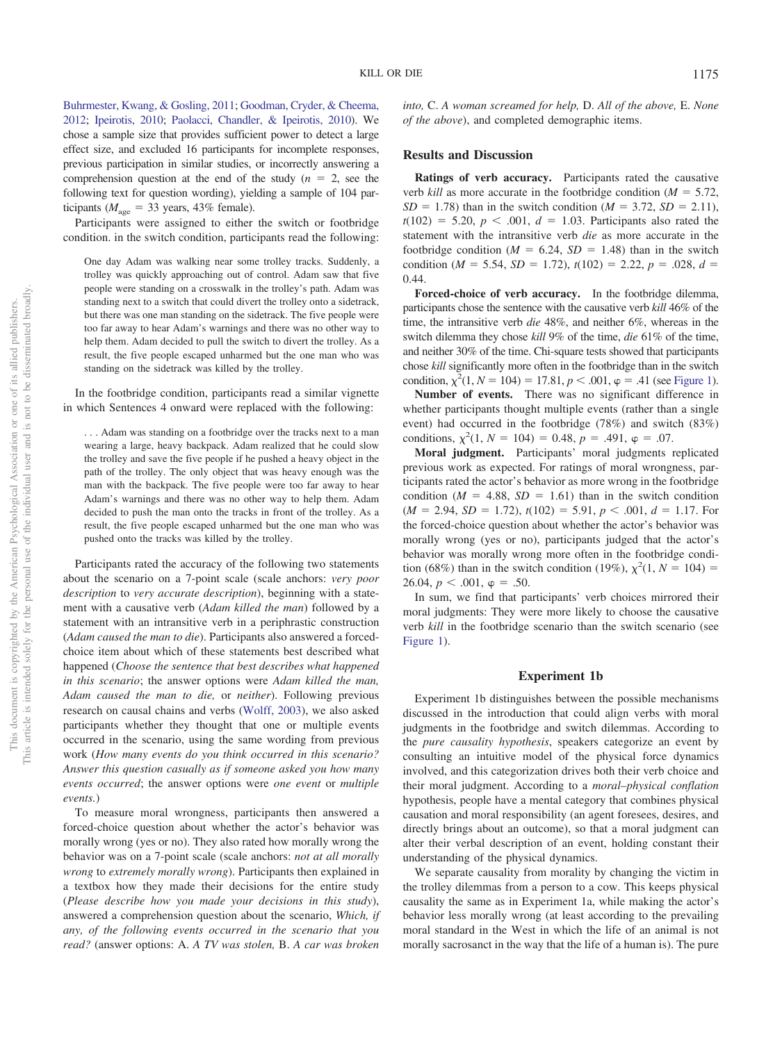[Buhrmester, Kwang, & Gosling, 2011;](#page-7-14) [Goodman, Cryder, & Cheema,](#page-7-15) [2012;](#page-7-15) [Ipeirotis, 2010;](#page-8-10) [Paolacci, Chandler, & Ipeirotis, 2010\)](#page-8-11). We chose a sample size that provides sufficient power to detect a large effect size, and excluded 16 participants for incomplete responses, previous participation in similar studies, or incorrectly answering a comprehension question at the end of the study  $(n = 2)$ , see the following text for question wording), yielding a sample of 104 participants ( $M_{\text{age}} = 33$  years, 43% female).

Participants were assigned to either the switch or footbridge condition. in the switch condition, participants read the following:

One day Adam was walking near some trolley tracks. Suddenly, a trolley was quickly approaching out of control. Adam saw that five people were standing on a crosswalk in the trolley's path. Adam was standing next to a switch that could divert the trolley onto a sidetrack, but there was one man standing on the sidetrack. The five people were too far away to hear Adam's warnings and there was no other way to help them. Adam decided to pull the switch to divert the trolley. As a result, the five people escaped unharmed but the one man who was standing on the sidetrack was killed by the trolley.

In the footbridge condition, participants read a similar vignette in which Sentences 4 onward were replaced with the following:

. . . Adam was standing on a footbridge over the tracks next to a man wearing a large, heavy backpack. Adam realized that he could slow the trolley and save the five people if he pushed a heavy object in the path of the trolley. The only object that was heavy enough was the man with the backpack. The five people were too far away to hear Adam's warnings and there was no other way to help them. Adam decided to push the man onto the tracks in front of the trolley. As a result, the five people escaped unharmed but the one man who was pushed onto the tracks was killed by the trolley.

Participants rated the accuracy of the following two statements about the scenario on a 7-point scale (scale anchors: *very poor description* to *very accurate description*), beginning with a statement with a causative verb (*Adam killed the man*) followed by a statement with an intransitive verb in a periphrastic construction (*Adam caused the man to die*). Participants also answered a forcedchoice item about which of these statements best described what happened (*Choose the sentence that best describes what happened in this scenario*; the answer options were *Adam killed the man, Adam caused the man to die,* or *neither*). Following previous research on causal chains and verbs [\(Wolff, 2003\)](#page-8-4), we also asked participants whether they thought that one or multiple events occurred in the scenario, using the same wording from previous work (*How many events do you think occurred in this scenario? Answer this question casually as if someone asked you how many events occurred*; the answer options were *one event* or *multiple events.*)

To measure moral wrongness, participants then answered a forced-choice question about whether the actor's behavior was morally wrong (yes or no). They also rated how morally wrong the behavior was on a 7-point scale (scale anchors: *not at all morally wrong* to *extremely morally wrong*). Participants then explained in a textbox how they made their decisions for the entire study (*Please describe how you made your decisions in this study*), answered a comprehension question about the scenario, *Which, if any, of the following events occurred in the scenario that you read?* (answer options: A. *A TV was stolen,* B. *A car was broken*

*into,* C. *A woman screamed for help,* D. *All of the above,* E. *None of the above*), and completed demographic items.

#### **Results and Discussion**

**Ratings of verb accuracy.** Participants rated the causative verb *kill* as more accurate in the footbridge condition ( $M = 5.72$ ,  $SD = 1.78$ ) than in the switch condition (*M* = 3.72, *SD* = 2.11),  $t(102) = 5.20, p < .001, d = 1.03$ . Participants also rated the statement with the intransitive verb *die* as more accurate in the footbridge condition ( $M = 6.24$ ,  $SD = 1.48$ ) than in the switch condition ( $M = 5.54$ ,  $SD = 1.72$ ),  $t(102) = 2.22$ ,  $p = .028$ ,  $d =$ 0.44.

**Forced-choice of verb accuracy.** In the footbridge dilemma, participants chose the sentence with the causative verb *kill* 46% of the time, the intransitive verb *die* 48%, and neither 6%, whereas in the switch dilemma they chose *kill* 9% of the time, *die* 61% of the time, and neither 30% of the time. Chi-square tests showed that participants chose *kill* significantly more often in the footbridge than in the switch condition,  $\chi^2(1, N = 104) = 17.81, p < .001, \varphi = .41$  (see [Figure 1\)](#page-3-0).

**Number of events.** There was no significant difference in whether participants thought multiple events (rather than a single event) had occurred in the footbridge (78%) and switch (83%) conditions,  $\chi^2(1, N = 104) = 0.48$ ,  $p = .491$ ,  $\varphi = .07$ .

**Moral judgment.** Participants' moral judgments replicated previous work as expected. For ratings of moral wrongness, participants rated the actor's behavior as more wrong in the footbridge condition  $(M = 4.88, SD = 1.61)$  than in the switch condition  $(M = 2.94, SD = 1.72), t(102) = 5.91, p < .001, d = 1.17$ . For the forced-choice question about whether the actor's behavior was morally wrong (yes or no), participants judged that the actor's behavior was morally wrong more often in the footbridge condition (68%) than in the switch condition (19%),  $\chi^2(1, N = 104) =$  $26.04, p < .001, \varphi = .50.$ 

In sum, we find that participants' verb choices mirrored their moral judgments: They were more likely to choose the causative verb *kill* in the footbridge scenario than the switch scenario (see [Figure 1\)](#page-3-0).

#### **Experiment 1b**

Experiment 1b distinguishes between the possible mechanisms discussed in the introduction that could align verbs with moral judgments in the footbridge and switch dilemmas. According to the *pure causality hypothesis*, speakers categorize an event by consulting an intuitive model of the physical force dynamics involved, and this categorization drives both their verb choice and their moral judgment. According to a *moral–physical conflation* hypothesis, people have a mental category that combines physical causation and moral responsibility (an agent foresees, desires, and directly brings about an outcome), so that a moral judgment can alter their verbal description of an event, holding constant their understanding of the physical dynamics.

We separate causality from morality by changing the victim in the trolley dilemmas from a person to a cow. This keeps physical causality the same as in Experiment 1a, while making the actor's behavior less morally wrong (at least according to the prevailing moral standard in the West in which the life of an animal is not morally sacrosanct in the way that the life of a human is). The pure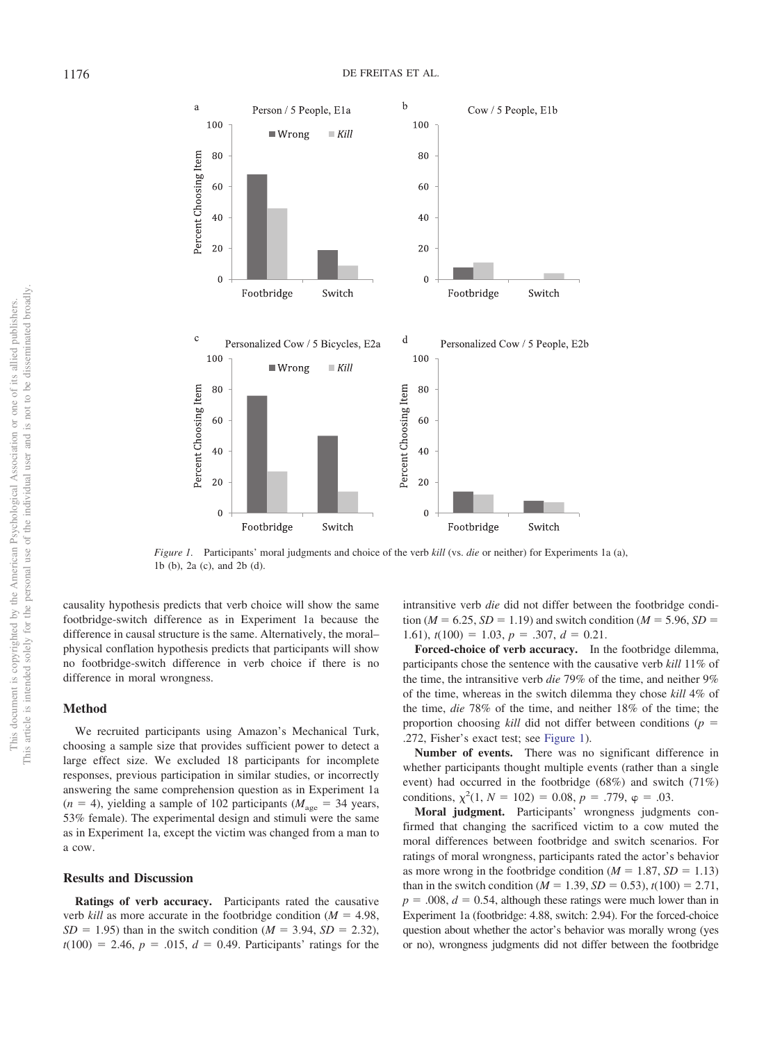

<span id="page-3-0"></span>*Figure 1.* Participants' moral judgments and choice of the verb *kill* (vs. *die* or neither) for Experiments 1a (a), 1b (b), 2a (c), and 2b (d).

causality hypothesis predicts that verb choice will show the same footbridge-switch difference as in Experiment 1a because the difference in causal structure is the same. Alternatively, the moral– physical conflation hypothesis predicts that participants will show no footbridge-switch difference in verb choice if there is no difference in moral wrongness.

## **Method**

We recruited participants using Amazon's Mechanical Turk, choosing a sample size that provides sufficient power to detect a large effect size. We excluded 18 participants for incomplete responses, previous participation in similar studies, or incorrectly answering the same comprehension question as in Experiment 1a  $(n = 4)$ , yielding a sample of 102 participants  $(M<sub>age</sub> = 34$  years, 53% female). The experimental design and stimuli were the same as in Experiment 1a, except the victim was changed from a man to a cow.

#### **Results and Discussion**

**Ratings of verb accuracy.** Participants rated the causative verb *kill* as more accurate in the footbridge condition ( $M = 4.98$ ,  $SD = 1.95$ ) than in the switch condition ( $M = 3.94$ ,  $SD = 2.32$ ),  $t(100) = 2.46, p = .015, d = 0.49$ . Participants' ratings for the intransitive verb *die* did not differ between the footbridge condi- $\text{tion } (M = 6.25, SD = 1.19) \text{ and switch condition } (M = 5.96, SD = 1.19)$ 1.61),  $t(100) = 1.03$ ,  $p = .307$ ,  $d = 0.21$ .

**Forced-choice of verb accuracy.** In the footbridge dilemma, participants chose the sentence with the causative verb *kill* 11% of the time, the intransitive verb *die* 79% of the time, and neither 9% of the time, whereas in the switch dilemma they chose *kill* 4% of the time, *die* 78% of the time, and neither 18% of the time; the proportion choosing *kill* did not differ between conditions ( $p =$ .272, Fisher's exact test; see [Figure 1\)](#page-3-0).

**Number of events.** There was no significant difference in whether participants thought multiple events (rather than a single event) had occurred in the footbridge (68%) and switch (71%) conditions,  $\chi^2(1, N = 102) = 0.08$ ,  $p = .779$ ,  $\varphi = .03$ .

**Moral judgment.** Participants' wrongness judgments confirmed that changing the sacrificed victim to a cow muted the moral differences between footbridge and switch scenarios. For ratings of moral wrongness, participants rated the actor's behavior as more wrong in the footbridge condition  $(M = 1.87, SD = 1.13)$ than in the switch condition ( $M = 1.39$ ,  $SD = 0.53$ ),  $t(100) = 2.71$ ,  $p = 0.008$ ,  $d = 0.54$ , although these ratings were much lower than in Experiment 1a (footbridge: 4.88, switch: 2.94). For the forced-choice question about whether the actor's behavior was morally wrong (yes or no), wrongness judgments did not differ between the footbridge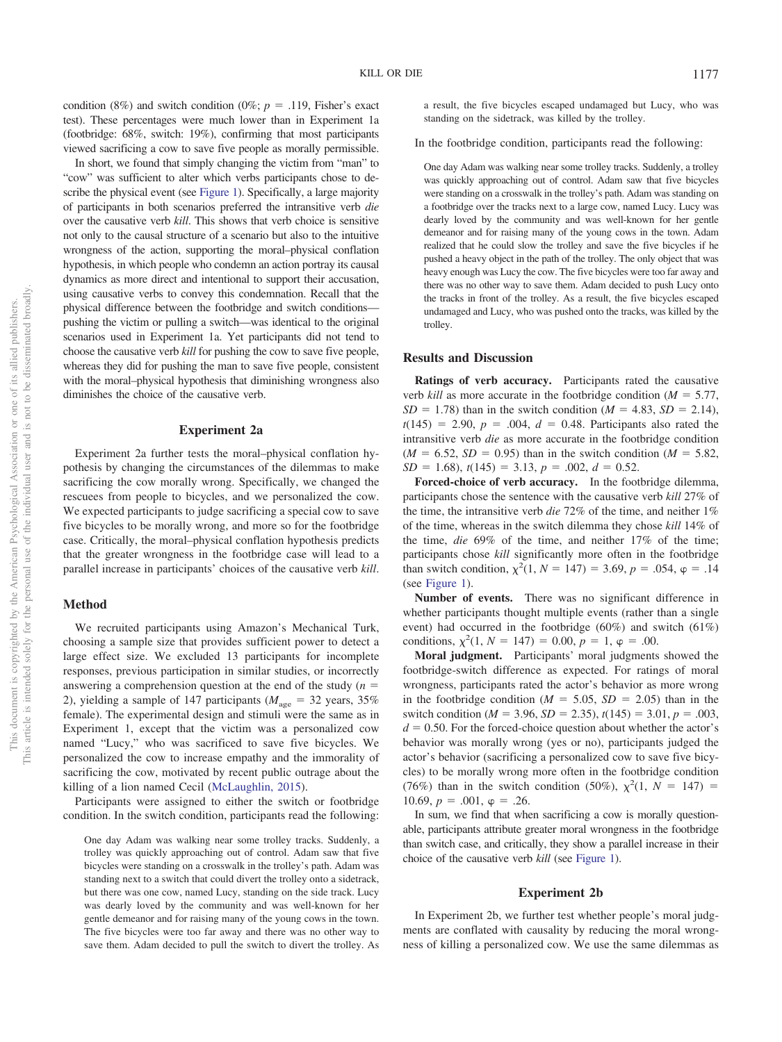condition (8%) and switch condition (0%;  $p = .119$ , Fisher's exact test). These percentages were much lower than in Experiment 1a (footbridge: 68%, switch: 19%), confirming that most participants viewed sacrificing a cow to save five people as morally permissible.

In short, we found that simply changing the victim from "man" to "cow" was sufficient to alter which verbs participants chose to describe the physical event (see [Figure 1\)](#page-3-0). Specifically, a large majority of participants in both scenarios preferred the intransitive verb *die* over the causative verb *kill*. This shows that verb choice is sensitive not only to the causal structure of a scenario but also to the intuitive wrongness of the action, supporting the moral–physical conflation hypothesis, in which people who condemn an action portray its causal dynamics as more direct and intentional to support their accusation, using causative verbs to convey this condemnation. Recall that the physical difference between the footbridge and switch conditions pushing the victim or pulling a switch—was identical to the original scenarios used in Experiment 1a. Yet participants did not tend to choose the causative verb *kill* for pushing the cow to save five people, whereas they did for pushing the man to save five people, consistent with the moral–physical hypothesis that diminishing wrongness also diminishes the choice of the causative verb.

#### **Experiment 2a**

Experiment 2a further tests the moral–physical conflation hypothesis by changing the circumstances of the dilemmas to make sacrificing the cow morally wrong. Specifically, we changed the rescuees from people to bicycles, and we personalized the cow. We expected participants to judge sacrificing a special cow to save five bicycles to be morally wrong, and more so for the footbridge case. Critically, the moral–physical conflation hypothesis predicts that the greater wrongness in the footbridge case will lead to a parallel increase in participants' choices of the causative verb *kill*.

#### **Method**

We recruited participants using Amazon's Mechanical Turk, choosing a sample size that provides sufficient power to detect a large effect size. We excluded 13 participants for incomplete responses, previous participation in similar studies, or incorrectly answering a comprehension question at the end of the study  $(n =$ 2), yielding a sample of 147 participants ( $M_{\text{age}} = 32$  years, 35% female). The experimental design and stimuli were the same as in Experiment 1, except that the victim was a personalized cow named "Lucy," who was sacrificed to save five bicycles. We personalized the cow to increase empathy and the immorality of sacrificing the cow, motivated by recent public outrage about the killing of a lion named Cecil [\(McLaughlin, 2015\)](#page-8-12).

Participants were assigned to either the switch or footbridge condition. In the switch condition, participants read the following:

One day Adam was walking near some trolley tracks. Suddenly, a trolley was quickly approaching out of control. Adam saw that five bicycles were standing on a crosswalk in the trolley's path. Adam was standing next to a switch that could divert the trolley onto a sidetrack, but there was one cow, named Lucy, standing on the side track. Lucy was dearly loved by the community and was well-known for her gentle demeanor and for raising many of the young cows in the town. The five bicycles were too far away and there was no other way to save them. Adam decided to pull the switch to divert the trolley. As

a result, the five bicycles escaped undamaged but Lucy, who was standing on the sidetrack, was killed by the trolley.

In the footbridge condition, participants read the following:

One day Adam was walking near some trolley tracks. Suddenly, a trolley was quickly approaching out of control. Adam saw that five bicycles were standing on a crosswalk in the trolley's path. Adam was standing on a footbridge over the tracks next to a large cow, named Lucy. Lucy was dearly loved by the community and was well-known for her gentle demeanor and for raising many of the young cows in the town. Adam realized that he could slow the trolley and save the five bicycles if he pushed a heavy object in the path of the trolley. The only object that was heavy enough was Lucy the cow. The five bicycles were too far away and there was no other way to save them. Adam decided to push Lucy onto the tracks in front of the trolley. As a result, the five bicycles escaped undamaged and Lucy, who was pushed onto the tracks, was killed by the trolley.

#### **Results and Discussion**

**Ratings of verb accuracy.** Participants rated the causative verb *kill* as more accurate in the footbridge condition ( $M = 5.77$ ,  $SD = 1.78$ ) than in the switch condition (*M* = 4.83, *SD* = 2.14),  $t(145) = 2.90, p = .004, d = 0.48$ . Participants also rated the intransitive verb *die* as more accurate in the footbridge condition  $(M = 6.52, SD = 0.95)$  than in the switch condition  $(M = 5.82,$  $SD = 1.68$ ,  $t(145) = 3.13$ ,  $p = .002$ ,  $d = 0.52$ .

**Forced-choice of verb accuracy.** In the footbridge dilemma, participants chose the sentence with the causative verb *kill* 27% of the time, the intransitive verb *die* 72% of the time, and neither 1% of the time, whereas in the switch dilemma they chose *kill* 14% of the time, *die* 69% of the time, and neither 17% of the time; participants chose *kill* significantly more often in the footbridge than switch condition,  $\chi^2(1, N = 147) = 3.69, p = .054, \varphi = .14$ (see [Figure 1\)](#page-3-0).

**Number of events.** There was no significant difference in whether participants thought multiple events (rather than a single event) had occurred in the footbridge (60%) and switch (61%) conditions,  $\chi^2(1, N = 147) = 0.00, p = 1, \varphi = .00$ .

**Moral judgment.** Participants' moral judgments showed the footbridge-switch difference as expected. For ratings of moral wrongness, participants rated the actor's behavior as more wrong in the footbridge condition  $(M = 5.05, SD = 2.05)$  than in the switch condition ( $M = 3.96$ ,  $SD = 2.35$ ),  $t(145) = 3.01$ ,  $p = .003$ ,  $d = 0.50$ . For the forced-choice question about whether the actor's behavior was morally wrong (yes or no), participants judged the actor's behavior (sacrificing a personalized cow to save five bicycles) to be morally wrong more often in the footbridge condition (76%) than in the switch condition (50%),  $\chi^2(1, N = 147)$  = 10.69,  $p = .001$ ,  $\varphi = .26$ .

In sum, we find that when sacrificing a cow is morally questionable, participants attribute greater moral wrongness in the footbridge than switch case, and critically, they show a parallel increase in their choice of the causative verb *kill* (see [Figure 1\)](#page-3-0).

#### **Experiment 2b**

In Experiment 2b, we further test whether people's moral judgments are conflated with causality by reducing the moral wrongness of killing a personalized cow. We use the same dilemmas as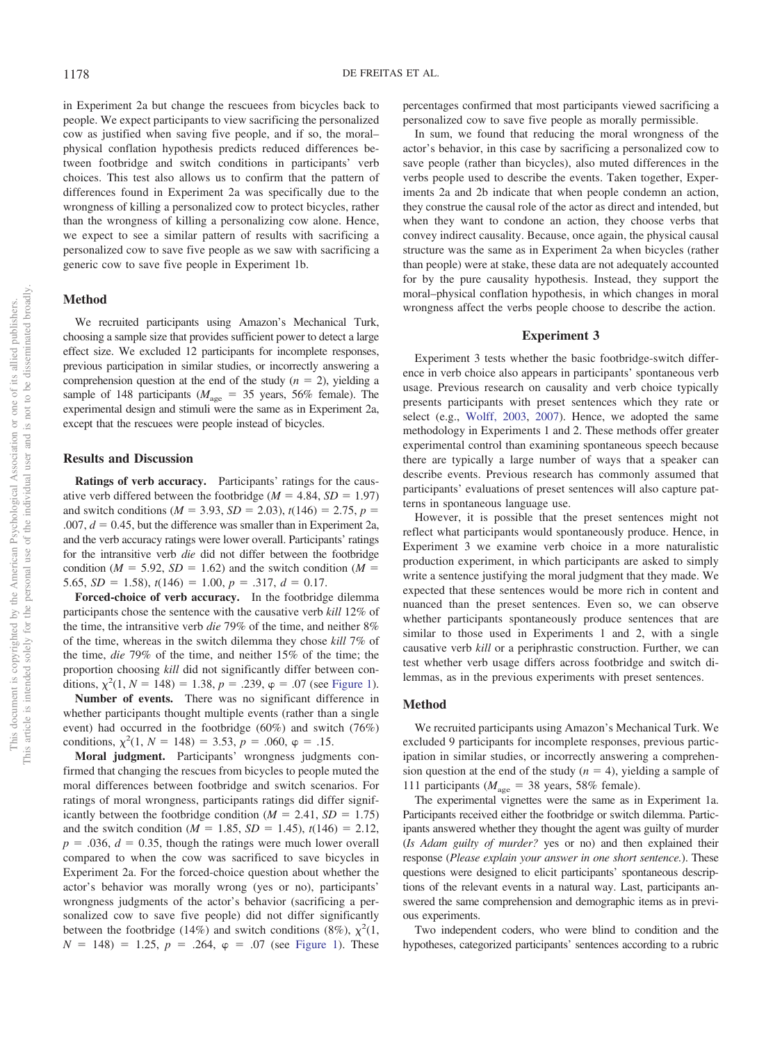in Experiment 2a but change the rescuees from bicycles back to people. We expect participants to view sacrificing the personalized cow as justified when saving five people, and if so, the moral– physical conflation hypothesis predicts reduced differences between footbridge and switch conditions in participants' verb choices. This test also allows us to confirm that the pattern of differences found in Experiment 2a was specifically due to the wrongness of killing a personalized cow to protect bicycles, rather than the wrongness of killing a personalizing cow alone. Hence, we expect to see a similar pattern of results with sacrificing a personalized cow to save five people as we saw with sacrificing a generic cow to save five people in Experiment 1b.

#### **Method**

We recruited participants using Amazon's Mechanical Turk, choosing a sample size that provides sufficient power to detect a large effect size. We excluded 12 participants for incomplete responses, previous participation in similar studies, or incorrectly answering a comprehension question at the end of the study  $(n = 2)$ , yielding a sample of 148 participants ( $M_{\text{age}} = 35$  years, 56% female). The experimental design and stimuli were the same as in Experiment 2a, except that the rescuees were people instead of bicycles.

#### **Results and Discussion**

**Ratings of verb accuracy.** Participants' ratings for the causative verb differed between the footbridge  $(M = 4.84, SD = 1.97)$ and switch conditions ( $M = 3.93$ ,  $SD = 2.03$ ),  $t(146) = 2.75$ ,  $p =$  $.007, d = 0.45$ , but the difference was smaller than in Experiment 2a, and the verb accuracy ratings were lower overall. Participants' ratings for the intransitive verb *die* did not differ between the footbridge condition ( $M = 5.92$ ,  $SD = 1.62$ ) and the switch condition ( $M =$ 5.65,  $SD = 1.58$ ,  $t(146) = 1.00$ ,  $p = .317$ ,  $d = 0.17$ .

**Forced-choice of verb accuracy.** In the footbridge dilemma participants chose the sentence with the causative verb *kill* 12% of the time, the intransitive verb *die* 79% of the time, and neither 8% of the time, whereas in the switch dilemma they chose *kill* 7% of the time, *die* 79% of the time, and neither 15% of the time; the proportion choosing *kill* did not significantly differ between conditions,  $\chi^2(1, N = 148) = 1.38$ ,  $p = .239$ ,  $\varphi = .07$  (see [Figure 1\)](#page-3-0).

**Number of events.** There was no significant difference in whether participants thought multiple events (rather than a single event) had occurred in the footbridge (60%) and switch (76%) conditions,  $\chi^2(1, N = 148) = 3.53, p = .060, \varphi = .15.$ 

**Moral judgment.** Participants' wrongness judgments confirmed that changing the rescues from bicycles to people muted the moral differences between footbridge and switch scenarios. For ratings of moral wrongness, participants ratings did differ significantly between the footbridge condition  $(M = 2.41, SD = 1.75)$ and the switch condition ( $M = 1.85$ ,  $SD = 1.45$ ),  $t(146) = 2.12$ ,  $p = 0.036$ ,  $d = 0.35$ , though the ratings were much lower overall compared to when the cow was sacrificed to save bicycles in Experiment 2a. For the forced-choice question about whether the actor's behavior was morally wrong (yes or no), participants' wrongness judgments of the actor's behavior (sacrificing a personalized cow to save five people) did not differ significantly between the footbridge (14%) and switch conditions (8%),  $\chi^2(1, 1)$  $N = 148$ ) = 1.25,  $p = .264$ ,  $\varphi = .07$  (see [Figure 1\)](#page-3-0). These

percentages confirmed that most participants viewed sacrificing a personalized cow to save five people as morally permissible.

In sum, we found that reducing the moral wrongness of the actor's behavior, in this case by sacrificing a personalized cow to save people (rather than bicycles), also muted differences in the verbs people used to describe the events. Taken together, Experiments 2a and 2b indicate that when people condemn an action, they construe the causal role of the actor as direct and intended, but when they want to condone an action, they choose verbs that convey indirect causality. Because, once again, the physical causal structure was the same as in Experiment 2a when bicycles (rather than people) were at stake, these data are not adequately accounted for by the pure causality hypothesis. Instead, they support the moral–physical conflation hypothesis, in which changes in moral wrongness affect the verbs people choose to describe the action.

#### **Experiment 3**

Experiment 3 tests whether the basic footbridge-switch difference in verb choice also appears in participants' spontaneous verb usage. Previous research on causality and verb choice typically presents participants with preset sentences which they rate or select (e.g., [Wolff, 2003,](#page-8-4) [2007\)](#page-8-5). Hence, we adopted the same methodology in Experiments 1 and 2. These methods offer greater experimental control than examining spontaneous speech because there are typically a large number of ways that a speaker can describe events. Previous research has commonly assumed that participants' evaluations of preset sentences will also capture patterns in spontaneous language use.

However, it is possible that the preset sentences might not reflect what participants would spontaneously produce. Hence, in Experiment 3 we examine verb choice in a more naturalistic production experiment, in which participants are asked to simply write a sentence justifying the moral judgment that they made. We expected that these sentences would be more rich in content and nuanced than the preset sentences. Even so, we can observe whether participants spontaneously produce sentences that are similar to those used in Experiments 1 and 2, with a single causative verb *kill* or a periphrastic construction. Further, we can test whether verb usage differs across footbridge and switch dilemmas, as in the previous experiments with preset sentences.

## **Method**

We recruited participants using Amazon's Mechanical Turk. We excluded 9 participants for incomplete responses, previous participation in similar studies, or incorrectly answering a comprehension question at the end of the study  $(n = 4)$ , yielding a sample of 111 participants ( $M_{\text{age}} = 38$  years, 58% female).

The experimental vignettes were the same as in Experiment 1a. Participants received either the footbridge or switch dilemma. Participants answered whether they thought the agent was guilty of murder (*Is Adam guilty of murder?* yes or no) and then explained their response (*Please explain your answer in one short sentence.*). These questions were designed to elicit participants' spontaneous descriptions of the relevant events in a natural way. Last, participants answered the same comprehension and demographic items as in previous experiments.

Two independent coders, who were blind to condition and the hypotheses, categorized participants' sentences according to a rubric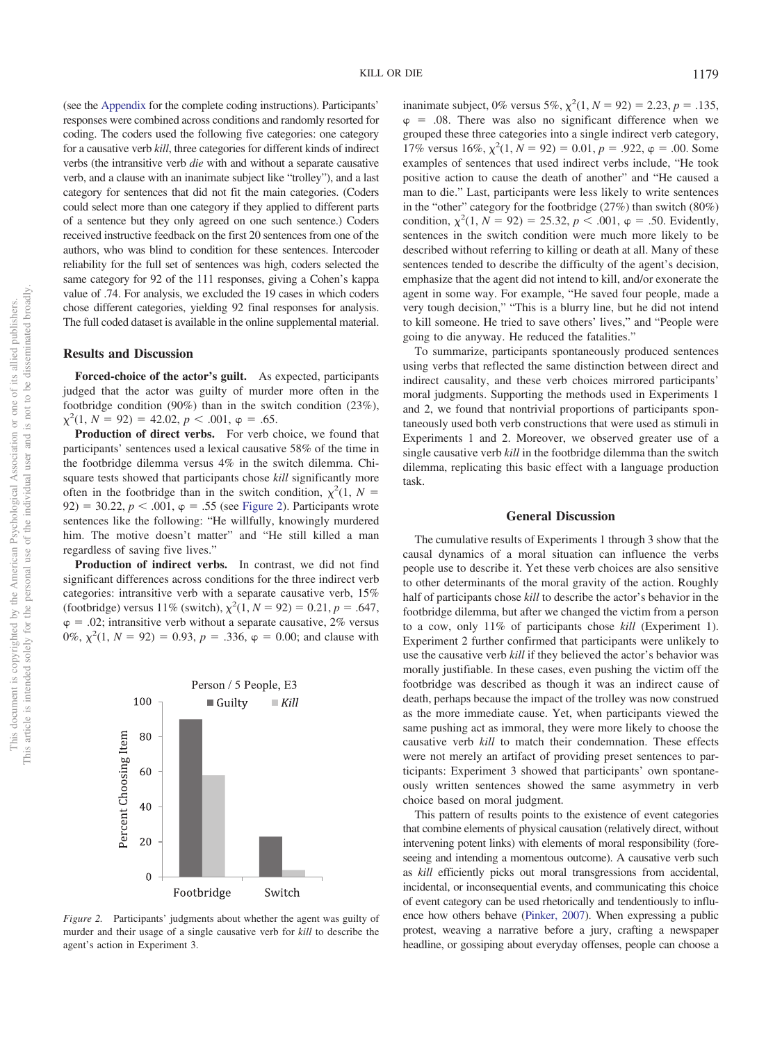(see the [Appendix](#page-8-13) for the complete coding instructions). Participants' responses were combined across conditions and randomly resorted for coding. The coders used the following five categories: one category for a causative verb *kill*, three categories for different kinds of indirect verbs (the intransitive verb *die* with and without a separate causative verb, and a clause with an inanimate subject like "trolley"), and a last category for sentences that did not fit the main categories. (Coders could select more than one category if they applied to different parts of a sentence but they only agreed on one such sentence.) Coders received instructive feedback on the first 20 sentences from one of the authors, who was blind to condition for these sentences. Intercoder reliability for the full set of sentences was high, coders selected the same category for 92 of the 111 responses, giving a Cohen's kappa value of .74. For analysis, we excluded the 19 cases in which coders chose different categories, yielding 92 final responses for analysis. The full coded dataset is available in the online supplemental material.

## **Results and Discussion**

**Forced-choice of the actor's guilt.** As expected, participants judged that the actor was guilty of murder more often in the footbridge condition (90%) than in the switch condition (23%),  $\chi^2(1, N = 92) = 42.02, p < .001, \varphi = .65.$ 

**Production of direct verbs.** For verb choice, we found that participants' sentences used a lexical causative 58% of the time in the footbridge dilemma versus 4% in the switch dilemma. Chisquare tests showed that participants chose *kill* significantly more often in the footbridge than in the switch condition,  $\chi^2(1, N =$  $92$ ) = 30.22,  $p < .001$ ,  $\varphi = .55$  (see [Figure 2\)](#page-6-0). Participants wrote sentences like the following: "He willfully, knowingly murdered him. The motive doesn't matter" and "He still killed a man regardless of saving five lives."

**Production of indirect verbs.** In contrast, we did not find significant differences across conditions for the three indirect verb categories: intransitive verb with a separate causative verb, 15% (footbridge) versus 11% (switch),  $\chi^2(1, N = 92) = 0.21, p = .647$ ,  $\varphi = 0.02$ ; intransitive verb without a separate causative, 2% versus 0%,  $\chi^2(1, N = 92) = 0.93$ ,  $p = .336$ ,  $\varphi = 0.00$ ; and clause with



<span id="page-6-0"></span>*Figure 2.* Participants' judgments about whether the agent was guilty of murder and their usage of a single causative verb for *kill* to describe the agent's action in Experiment 3.

inanimate subject, 0% versus 5%,  $\chi^2(1, N = 92) = 2.23, p = .135,$  $\varphi = .08$ . There was also no significant difference when we grouped these three categories into a single indirect verb category, 17% versus  $16\%, \chi^2(1, N = 92) = 0.01, p = .922, \varphi = .00$ . Some examples of sentences that used indirect verbs include, "He took positive action to cause the death of another" and "He caused a man to die." Last, participants were less likely to write sentences in the "other" category for the footbridge (27%) than switch (80%) condition,  $\chi^2(1, N = 92) = 25.32, p < .001, \varphi = .50$ . Evidently, sentences in the switch condition were much more likely to be described without referring to killing or death at all. Many of these sentences tended to describe the difficulty of the agent's decision, emphasize that the agent did not intend to kill, and/or exonerate the agent in some way. For example, "He saved four people, made a very tough decision," "This is a blurry line, but he did not intend to kill someone. He tried to save others' lives," and "People were going to die anyway. He reduced the fatalities."

To summarize, participants spontaneously produced sentences using verbs that reflected the same distinction between direct and indirect causality, and these verb choices mirrored participants' moral judgments. Supporting the methods used in Experiments 1 and 2, we found that nontrivial proportions of participants spontaneously used both verb constructions that were used as stimuli in Experiments 1 and 2. Moreover, we observed greater use of a single causative verb *kill* in the footbridge dilemma than the switch dilemma, replicating this basic effect with a language production task.

#### **General Discussion**

The cumulative results of Experiments 1 through 3 show that the causal dynamics of a moral situation can influence the verbs people use to describe it. Yet these verb choices are also sensitive to other determinants of the moral gravity of the action. Roughly half of participants chose *kill* to describe the actor's behavior in the footbridge dilemma, but after we changed the victim from a person to a cow, only 11% of participants chose *kill* (Experiment 1). Experiment 2 further confirmed that participants were unlikely to use the causative verb *kill* if they believed the actor's behavior was morally justifiable. In these cases, even pushing the victim off the footbridge was described as though it was an indirect cause of death, perhaps because the impact of the trolley was now construed as the more immediate cause. Yet, when participants viewed the same pushing act as immoral, they were more likely to choose the causative verb *kill* to match their condemnation. These effects were not merely an artifact of providing preset sentences to participants: Experiment 3 showed that participants' own spontaneously written sentences showed the same asymmetry in verb choice based on moral judgment.

This pattern of results points to the existence of event categories that combine elements of physical causation (relatively direct, without intervening potent links) with elements of moral responsibility (foreseeing and intending a momentous outcome). A causative verb such as *kill* efficiently picks out moral transgressions from accidental, incidental, or inconsequential events, and communicating this choice of event category can be used rhetorically and tendentiously to influence how others behave [\(Pinker, 2007\)](#page-8-1). When expressing a public protest, weaving a narrative before a jury, crafting a newspaper headline, or gossiping about everyday offenses, people can choose a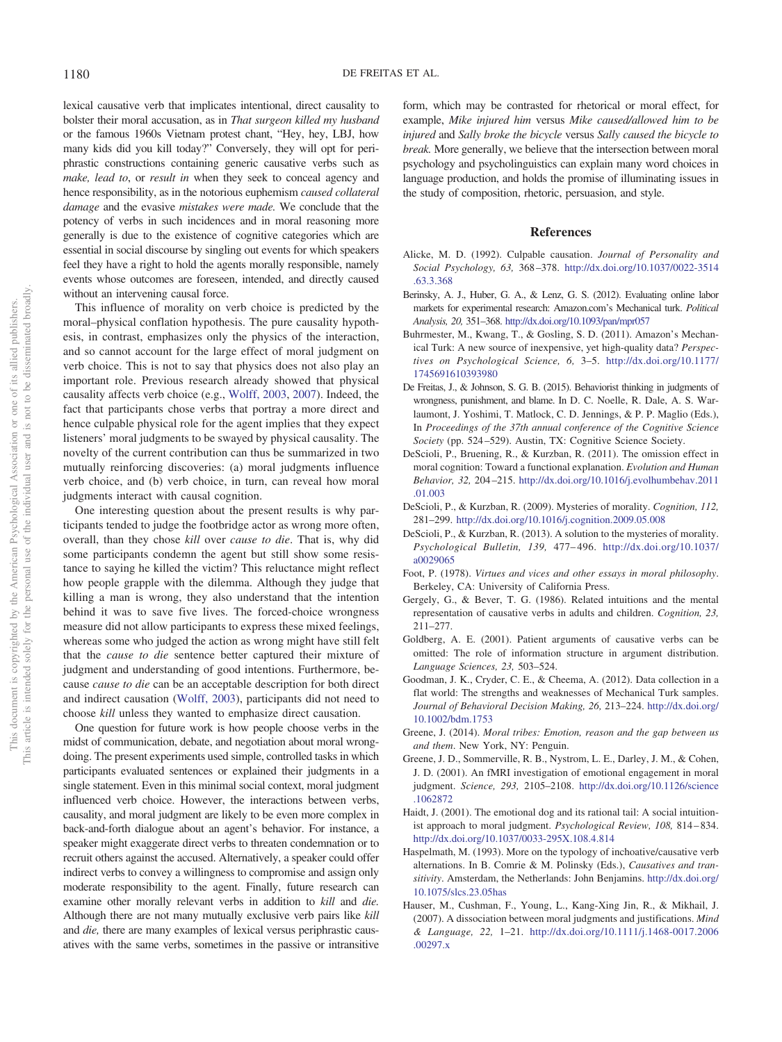lexical causative verb that implicates intentional, direct causality to bolster their moral accusation, as in *That surgeon killed my husband* or the famous 1960s Vietnam protest chant, "Hey, hey, LBJ, how many kids did you kill today?" Conversely, they will opt for periphrastic constructions containing generic causative verbs such as *make, lead to*, or *result in* when they seek to conceal agency and hence responsibility, as in the notorious euphemism *caused collateral damage* and the evasive *mistakes were made.* We conclude that the potency of verbs in such incidences and in moral reasoning more generally is due to the existence of cognitive categories which are essential in social discourse by singling out events for which speakers feel they have a right to hold the agents morally responsible, namely events whose outcomes are foreseen, intended, and directly caused without an intervening causal force.

This influence of morality on verb choice is predicted by the moral–physical conflation hypothesis. The pure causality hypothesis, in contrast, emphasizes only the physics of the interaction, and so cannot account for the large effect of moral judgment on verb choice. This is not to say that physics does not also play an important role. Previous research already showed that physical causality affects verb choice (e.g., [Wolff, 2003,](#page-8-4) [2007\)](#page-8-5). Indeed, the fact that participants chose verbs that portray a more direct and hence culpable physical role for the agent implies that they expect listeners' moral judgments to be swayed by physical causality. The novelty of the current contribution can thus be summarized in two mutually reinforcing discoveries: (a) moral judgments influence verb choice, and (b) verb choice, in turn, can reveal how moral judgments interact with causal cognition.

One interesting question about the present results is why participants tended to judge the footbridge actor as wrong more often, overall, than they chose *kill* over *cause to die*. That is, why did some participants condemn the agent but still show some resistance to saying he killed the victim? This reluctance might reflect how people grapple with the dilemma. Although they judge that killing a man is wrong, they also understand that the intention behind it was to save five lives. The forced-choice wrongness measure did not allow participants to express these mixed feelings, whereas some who judged the action as wrong might have still felt that the *cause to die* sentence better captured their mixture of judgment and understanding of good intentions. Furthermore, because *cause to die* can be an acceptable description for both direct and indirect causation [\(Wolff, 2003\)](#page-8-4), participants did not need to choose *kill* unless they wanted to emphasize direct causation.

One question for future work is how people choose verbs in the midst of communication, debate, and negotiation about moral wrongdoing. The present experiments used simple, controlled tasks in which participants evaluated sentences or explained their judgments in a single statement. Even in this minimal social context, moral judgment influenced verb choice. However, the interactions between verbs, causality, and moral judgment are likely to be even more complex in back-and-forth dialogue about an agent's behavior. For instance, a speaker might exaggerate direct verbs to threaten condemnation or to recruit others against the accused. Alternatively, a speaker could offer indirect verbs to convey a willingness to compromise and assign only moderate responsibility to the agent. Finally, future research can examine other morally relevant verbs in addition to *kill* and *die.* Although there are not many mutually exclusive verb pairs like *kill* and *die,* there are many examples of lexical versus periphrastic causatives with the same verbs, sometimes in the passive or intransitive

form, which may be contrasted for rhetorical or moral effect, for example, *Mike injured him* versus *Mike caused/allowed him to be injured* and *Sally broke the bicycle* versus *Sally caused the bicycle to break.* More generally, we believe that the intersection between moral psychology and psycholinguistics can explain many word choices in language production, and holds the promise of illuminating issues in the study of composition, rhetoric, persuasion, and style.

#### **References**

- <span id="page-7-9"></span>Alicke, M. D. (1992). Culpable causation. *Journal of Personality and Social Psychology, 63,* 368 –378. [http://dx.doi.org/10.1037/0022-3514](http://dx.doi.org/10.1037/0022-3514.63.3.368) [.63.3.368](http://dx.doi.org/10.1037/0022-3514.63.3.368)
- <span id="page-7-13"></span>Berinsky, A. J., Huber, G. A., & Lenz, G. S. (2012). Evaluating online labor markets for experimental research: Amazon.com's Mechanical turk. *Political Analysis, 20,* 351–368. <http://dx.doi.org/10.1093/pan/mpr057>
- <span id="page-7-14"></span>Buhrmester, M., Kwang, T., & Gosling, S. D. (2011). Amazon's Mechanical Turk: A new source of inexpensive, yet high-quality data? *Perspectives on Psychological Science, 6,* 3–5. [http://dx.doi.org/10.1177/](http://dx.doi.org/10.1177/1745691610393980) [1745691610393980](http://dx.doi.org/10.1177/1745691610393980)
- <span id="page-7-3"></span>De Freitas, J., & Johnson, S. G. B. (2015). Behaviorist thinking in judgments of wrongness, punishment, and blame. In D. C. Noelle, R. Dale, A. S. Warlaumont, J. Yoshimi, T. Matlock, C. D. Jennings, & P. P. Maglio (Eds.), In *Proceedings of the 37th annual conference of the Cognitive Science Society* (pp. 524 –529). Austin, TX: Cognitive Science Society.
- <span id="page-7-10"></span>DeScioli, P., Bruening, R., & Kurzban, R. (2011). The omission effect in moral cognition: Toward a functional explanation. *Evolution and Human Behavior, 32,* 204 –215. [http://dx.doi.org/10.1016/j.evolhumbehav.2011](http://dx.doi.org/10.1016/j.evolhumbehav.2011.01.003) [.01.003](http://dx.doi.org/10.1016/j.evolhumbehav.2011.01.003)
- <span id="page-7-6"></span>DeScioli, P., & Kurzban, R. (2009). Mysteries of morality. *Cognition, 112,* 281–299. <http://dx.doi.org/10.1016/j.cognition.2009.05.008>
- <span id="page-7-7"></span>DeScioli, P., & Kurzban, R. (2013). A solution to the mysteries of morality. *Psychological Bulletin, 139,* 477– 496. [http://dx.doi.org/10.1037/](http://dx.doi.org/10.1037/a0029065) [a0029065](http://dx.doi.org/10.1037/a0029065)
- <span id="page-7-4"></span>Foot, P. (1978). *Virtues and vices and other essays in moral philosophy*. Berkeley, CA: University of California Press.
- <span id="page-7-1"></span>Gergely, G., & Bever, T. G. (1986). Related intuitions and the mental representation of causative verbs in adults and children. *Cognition, 23,* 211–277.
- <span id="page-7-2"></span>Goldberg, A. E. (2001). Patient arguments of causative verbs can be omitted: The role of information structure in argument distribution. *Language Sciences, 23,* 503–524.
- <span id="page-7-15"></span>Goodman, J. K., Cryder, C. E., & Cheema, A. (2012). Data collection in a flat world: The strengths and weaknesses of Mechanical Turk samples. *Journal of Behavioral Decision Making, 26,* 213–224. [http://dx.doi.org/](http://dx.doi.org/10.1002/bdm.1753) [10.1002/bdm.1753](http://dx.doi.org/10.1002/bdm.1753)
- <span id="page-7-12"></span>Greene, J. (2014). *Moral tribes: Emotion, reason and the gap between us and them*. New York, NY: Penguin.
- <span id="page-7-8"></span>Greene, J. D., Sommerville, R. B., Nystrom, L. E., Darley, J. M., & Cohen, J. D. (2001). An fMRI investigation of emotional engagement in moral judgment. *Science, 293,* 2105–2108. [http://dx.doi.org/10.1126/science](http://dx.doi.org/10.1126/science.1062872) [.1062872](http://dx.doi.org/10.1126/science.1062872)
- <span id="page-7-11"></span>Haidt, J. (2001). The emotional dog and its rational tail: A social intuitionist approach to moral judgment. *Psychological Review, 108,* 814 – 834. <http://dx.doi.org/10.1037/0033-295X.108.4.814>
- <span id="page-7-0"></span>Haspelmath, M. (1993). More on the typology of inchoative/causative verb alternations. In B. Comrie & M. Polinsky (Eds.), *Causatives and transitivity*. Amsterdam, the Netherlands: John Benjamins. [http://dx.doi.org/](http://dx.doi.org/10.1075/slcs.23.05has) [10.1075/slcs.23.05has](http://dx.doi.org/10.1075/slcs.23.05has)
- <span id="page-7-5"></span>Hauser, M., Cushman, F., Young, L., Kang-Xing Jin, R., & Mikhail, J. (2007). A dissociation between moral judgments and justifications. *Mind & Language, 22,* 1–21. [http://dx.doi.org/10.1111/j.1468-0017.2006](http://dx.doi.org/10.1111/j.1468-0017.2006.00297.x) [.00297.x](http://dx.doi.org/10.1111/j.1468-0017.2006.00297.x)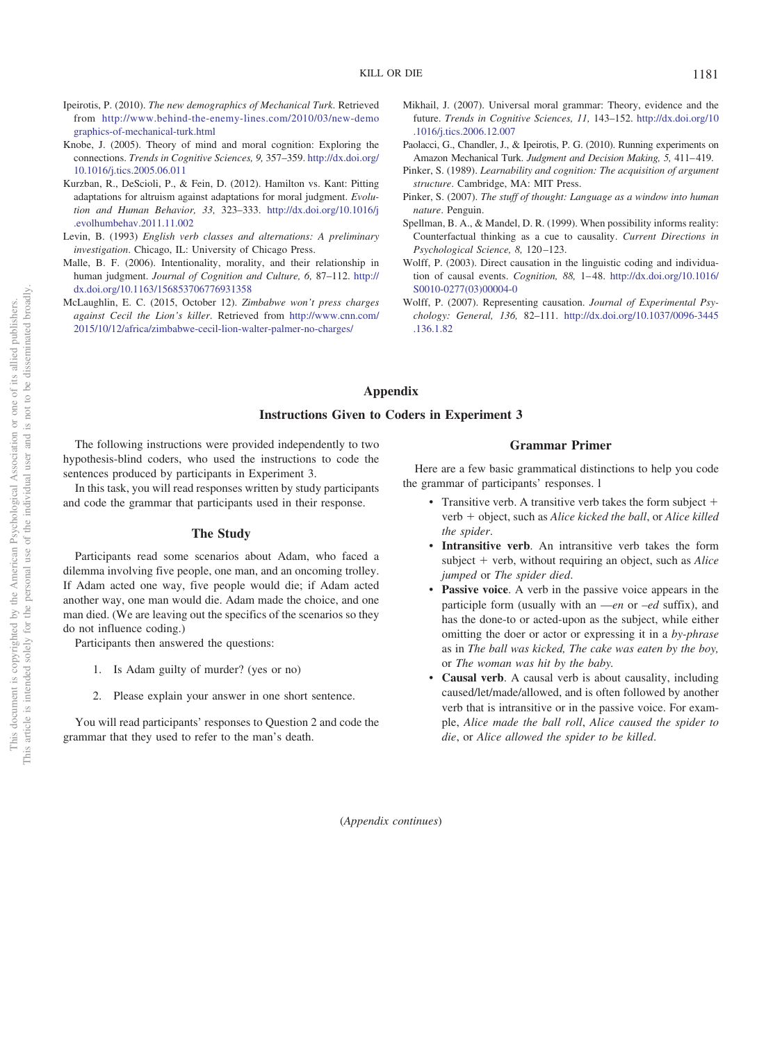- <span id="page-8-10"></span>Ipeirotis, P. (2010). *The new demographics of Mechanical Turk*. Retrieved from [http://www.behind-the-enemy-lines.com/2010/03/new-demo](http://www.behind-the-enemy-lines.com/2010/03/new-demographics-of-mechanical-turk.html) [graphics-of-mechanical-turk.html](http://www.behind-the-enemy-lines.com/2010/03/new-demographics-of-mechanical-turk.html)
- <span id="page-8-9"></span>Knobe, J. (2005). Theory of mind and moral cognition: Exploring the connections. *Trends in Cognitive Sciences, 9,* 357–359. [http://dx.doi.org/](http://dx.doi.org/10.1016/j.tics.2005.06.011) [10.1016/j.tics.2005.06.011](http://dx.doi.org/10.1016/j.tics.2005.06.011)
- <span id="page-8-7"></span>Kurzban, R., DeScioli, P., & Fein, D. (2012). Hamilton vs. Kant: Pitting adaptations for altruism against adaptations for moral judgment. *Evolution and Human Behavior, 33,* 323–333. [http://dx.doi.org/10.1016/j](http://dx.doi.org/10.1016/j.evolhumbehav.2011.11.002) [.evolhumbehav.2011.11.002](http://dx.doi.org/10.1016/j.evolhumbehav.2011.11.002)
- <span id="page-8-2"></span>Levin, B. (1993) *English verb classes and alternations: A preliminary investigation*. Chicago, IL: University of Chicago Press.
- <span id="page-8-6"></span>Malle, B. F. (2006). Intentionality, morality, and their relationship in human judgment. *Journal of Cognition and Culture, 6,* 87–112. [http://](http://dx.doi.org/10.1163/156853706776931358) [dx.doi.org/10.1163/156853706776931358](http://dx.doi.org/10.1163/156853706776931358)
- <span id="page-8-12"></span>McLaughlin, E. C. (2015, October 12). *Zimbabwe won't press charges against Cecil the Lion's killer*. Retrieved from [http://www.cnn.com/](http://www.cnn.com/2015/10/12/africa/zimbabwe-cecil-lion-walter-palmer-no-charges/) [2015/10/12/africa/zimbabwe-cecil-lion-walter-palmer-no-charges/](http://www.cnn.com/2015/10/12/africa/zimbabwe-cecil-lion-walter-palmer-no-charges/)
- <span id="page-8-8"></span>Mikhail, J. (2007). Universal moral grammar: Theory, evidence and the future. *Trends in Cognitive Sciences, 11,* 143–152. [http://dx.doi.org/10](http://dx.doi.org/10.1016/j.tics.2006.12.007) [.1016/j.tics.2006.12.007](http://dx.doi.org/10.1016/j.tics.2006.12.007)
- <span id="page-8-11"></span>Paolacci, G., Chandler, J., & Ipeirotis, P. G. (2010). Running experiments on Amazon Mechanical Turk. *Judgment and Decision Making*, 5, 411-419.
- <span id="page-8-0"></span>Pinker, S. (1989). *Learnability and cognition: The acquisition of argument structure*. Cambridge, MA: MIT Press.
- <span id="page-8-1"></span>Pinker, S. (2007). *The stuff of thought: Language as a window into human nature*. Penguin.
- <span id="page-8-3"></span>Spellman, B. A., & Mandel, D. R. (1999). When possibility informs reality: Counterfactual thinking as a cue to causality. *Current Directions in Psychological Science, 8,* 120 –123.
- <span id="page-8-4"></span>Wolff, P. (2003). Direct causation in the linguistic coding and individuation of causal events. *Cognition*, 88, 1-48. [http://dx.doi.org/10.1016/](http://dx.doi.org/10.1016/S0010-0277%2803%2900004-0) [S0010-0277\(03\)00004-0](http://dx.doi.org/10.1016/S0010-0277%2803%2900004-0)
- <span id="page-8-5"></span>Wolff, P. (2007). Representing causation. *Journal of Experimental Psychology: General, 136,* 82–111. [http://dx.doi.org/10.1037/0096-3445](http://dx.doi.org/10.1037/0096-3445.136.1.82) [.136.1.82](http://dx.doi.org/10.1037/0096-3445.136.1.82)

# <span id="page-8-13"></span>**Appendix**

## **Instructions Given to Coders in Experiment 3**

The following instructions were provided independently to two hypothesis-blind coders, who used the instructions to code the sentences produced by participants in Experiment 3.

In this task, you will read responses written by study participants and code the grammar that participants used in their response.

#### **The Study**

Participants read some scenarios about Adam, who faced a dilemma involving five people, one man, and an oncoming trolley. If Adam acted one way, five people would die; if Adam acted another way, one man would die. Adam made the choice, and one man died. (We are leaving out the specifics of the scenarios so they do not influence coding.)

Participants then answered the questions:

- 1. Is Adam guilty of murder? (yes or no)
- 2. Please explain your answer in one short sentence.

You will read participants' responses to Question 2 and code the grammar that they used to refer to the man's death.

## **Grammar Primer**

Here are a few basic grammatical distinctions to help you code the grammar of participants' responses. l

- Transitive verb. A transitive verb takes the form subject + verb + object, such as *Alice kicked the ball*, or *Alice killed the spider*.
- **Intransitive verb**. An intransitive verb takes the form subject + verb, without requiring an object, such as *Alice jumped* or *The spider died*.
- **Passive voice**. A verb in the passive voice appears in the participle form (usually with an —*en* or –*ed* suffix), and has the done-to or acted-upon as the subject, while either omitting the doer or actor or expressing it in a *by-phrase* as in *The ball was kicked, The cake was eaten by the boy,* or *The woman was hit by the baby.*
- **Causal verb**. A causal verb is about causality, including caused/let/made/allowed, and is often followed by another verb that is intransitive or in the passive voice. For example, *Alice made the ball roll*, *Alice caused the spider to die*, or *Alice allowed the spider to be killed*.

(*Appendix continues*)